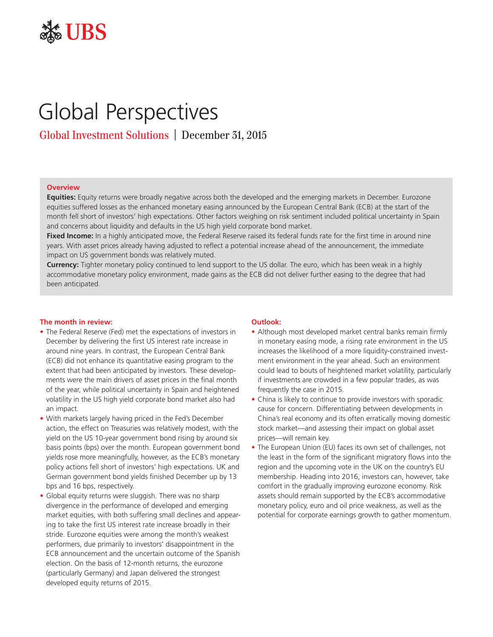

# Global Perspectives

Global Investment Solutions | December 31, 2015

## **Overview**

**Equities:** Equity returns were broadly negative across both the developed and the emerging markets in December. Eurozone equities suffered losses as the enhanced monetary easing announced by the European Central Bank (ECB) at the start of the month fell short of investors' high expectations. Other factors weighing on risk sentiment included political uncertainty in Spain and concerns about liquidity and defaults in the US high yield corporate bond market.

Fixed Income: In a highly anticipated move, the Federal Reserve raised its federal funds rate for the first time in around nine years. With asset prices already having adjusted to reflect a potential increase ahead of the announcement, the immediate impact on US government bonds was relatively muted.

**Currency:** Tighter monetary policy continued to lend support to the US dollar. The euro, which has been weak in a highly accommodative monetary policy environment, made gains as the ECB did not deliver further easing to the degree that had been anticipated.

## **The month in review:**

- The Federal Reserve (Fed) met the expectations of investors in December by delivering the first US interest rate increase in around nine years. In contrast, the European Central Bank (ECB) did not enhance its quantitative easing program to the extent that had been anticipated by investors. These developments were the main drivers of asset prices in the final month of the year, while political uncertainty in Spain and heightened volatility in the US high yield corporate bond market also had an impact.
- With markets largely having priced in the Fed's December action, the effect on Treasuries was relatively modest, with the yield on the US 10-year government bond rising by around six basis points (bps) over the month. European government bond yields rose more meaningfully, however, as the ECB's monetary policy actions fell short of investors' high expectations. UK and German government bond yields finished December up by 13 bps and 16 bps, respectively.
- Global equity returns were sluggish. There was no sharp divergence in the performance of developed and emerging market equities, with both suffering small declines and appearing to take the first US interest rate increase broadly in their stride. Eurozone equities were among the month's weakest performers, due primarily to investors' disappointment in the ECB announcement and the uncertain outcome of the Spanish election. On the basis of 12-month returns, the eurozone (particularly Germany) and Japan delivered the strongest developed equity returns of 2015.

## **Outlook:**

- Although most developed market central banks remain firmly in monetary easing mode, a rising rate environment in the US increases the likelihood of a more liquidity-constrained investment environment in the year ahead. Such an environment could lead to bouts of heightened market volatility, particularly if investments are crowded in a few popular trades, as was frequently the case in 2015.
- China is likely to continue to provide investors with sporadic cause for concern. Differentiating between developments in China's real economy and its often erratically moving domestic stock market—and assessing their impact on global asset prices—will remain key.
- The European Union (EU) faces its own set of challenges, not the least in the form of the significant migratory flows into the region and the upcoming vote in the UK on the country's EU membership. Heading into 2016, investors can, however, take comfort in the gradually improving eurozone economy. Risk assets should remain supported by the ECB's accommodative monetary policy, euro and oil price weakness, as well as the potential for corporate earnings growth to gather momentum.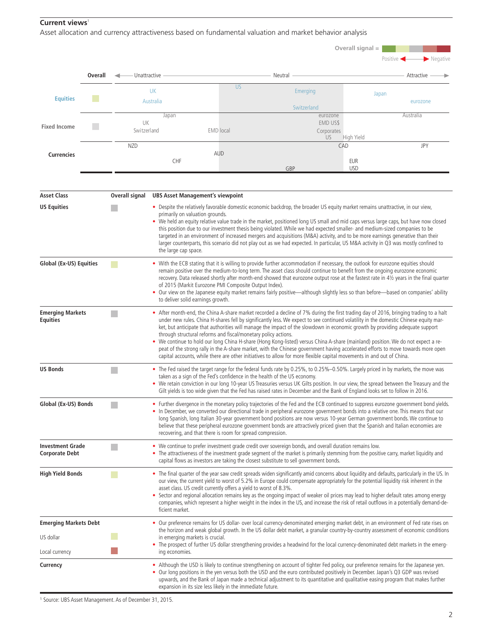## **Current views**<sup>1</sup>

Asset allocation and currency attractiveness based on fundamental valuation and market behavior analysis

|                                                  |                |                                                                                                                                                                                                                                                                                                                                                                                                                                                                                                                                                                                                                                                                                                                                                                                                                                                                                   |                                                                                                                                                                                                                                                                                                                                                                                                                                                                            |                                                                                                                                                                                                                                                                          | Overall signal $=$                                                                                                                                                                                                                                                                                                                                                                                                                                                                                                                                                                                                                               |                      |                   |                                                                                                                                |            |  |
|--------------------------------------------------|----------------|-----------------------------------------------------------------------------------------------------------------------------------------------------------------------------------------------------------------------------------------------------------------------------------------------------------------------------------------------------------------------------------------------------------------------------------------------------------------------------------------------------------------------------------------------------------------------------------------------------------------------------------------------------------------------------------------------------------------------------------------------------------------------------------------------------------------------------------------------------------------------------------|----------------------------------------------------------------------------------------------------------------------------------------------------------------------------------------------------------------------------------------------------------------------------------------------------------------------------------------------------------------------------------------------------------------------------------------------------------------------------|--------------------------------------------------------------------------------------------------------------------------------------------------------------------------------------------------------------------------------------------------------------------------|--------------------------------------------------------------------------------------------------------------------------------------------------------------------------------------------------------------------------------------------------------------------------------------------------------------------------------------------------------------------------------------------------------------------------------------------------------------------------------------------------------------------------------------------------------------------------------------------------------------------------------------------------|----------------------|-------------------|--------------------------------------------------------------------------------------------------------------------------------|------------|--|
|                                                  |                |                                                                                                                                                                                                                                                                                                                                                                                                                                                                                                                                                                                                                                                                                                                                                                                                                                                                                   |                                                                                                                                                                                                                                                                                                                                                                                                                                                                            |                                                                                                                                                                                                                                                                          |                                                                                                                                                                                                                                                                                                                                                                                                                                                                                                                                                                                                                                                  |                      |                   | $\blacktriangleright$ Negative<br>Positive                                                                                     |            |  |
|                                                  | <b>Overall</b> | Unattractive                                                                                                                                                                                                                                                                                                                                                                                                                                                                                                                                                                                                                                                                                                                                                                                                                                                                      |                                                                                                                                                                                                                                                                                                                                                                                                                                                                            |                                                                                                                                                                                                                                                                          | Neutral                                                                                                                                                                                                                                                                                                                                                                                                                                                                                                                                                                                                                                          |                      |                   | Attractive -                                                                                                                   |            |  |
| <b>Equities</b>                                  |                |                                                                                                                                                                                                                                                                                                                                                                                                                                                                                                                                                                                                                                                                                                                                                                                                                                                                                   | <b>UK</b>                                                                                                                                                                                                                                                                                                                                                                                                                                                                  |                                                                                                                                                                                                                                                                          | <b>US</b>                                                                                                                                                                                                                                                                                                                                                                                                                                                                                                                                                                                                                                        | Emerging             |                   | Japan                                                                                                                          |            |  |
|                                                  |                | Australia                                                                                                                                                                                                                                                                                                                                                                                                                                                                                                                                                                                                                                                                                                                                                                                                                                                                         |                                                                                                                                                                                                                                                                                                                                                                                                                                                                            |                                                                                                                                                                                                                                                                          | Switzerland                                                                                                                                                                                                                                                                                                                                                                                                                                                                                                                                                                                                                                      |                      |                   | eurozone                                                                                                                       |            |  |
| Fixed Income                                     |                | Japan<br>UK                                                                                                                                                                                                                                                                                                                                                                                                                                                                                                                                                                                                                                                                                                                                                                                                                                                                       |                                                                                                                                                                                                                                                                                                                                                                                                                                                                            |                                                                                                                                                                                                                                                                          |                                                                                                                                                                                                                                                                                                                                                                                                                                                                                                                                                                                                                                                  | eurozone<br>EMD US\$ |                   | Australia                                                                                                                      |            |  |
|                                                  |                | Switzerland                                                                                                                                                                                                                                                                                                                                                                                                                                                                                                                                                                                                                                                                                                                                                                                                                                                                       |                                                                                                                                                                                                                                                                                                                                                                                                                                                                            | <b>EMD</b> local                                                                                                                                                                                                                                                         |                                                                                                                                                                                                                                                                                                                                                                                                                                                                                                                                                                                                                                                  |                      | Corporates<br>US. |                                                                                                                                | High Yield |  |
|                                                  |                | <b>NZD</b>                                                                                                                                                                                                                                                                                                                                                                                                                                                                                                                                                                                                                                                                                                                                                                                                                                                                        |                                                                                                                                                                                                                                                                                                                                                                                                                                                                            |                                                                                                                                                                                                                                                                          | <b>AUD</b>                                                                                                                                                                                                                                                                                                                                                                                                                                                                                                                                                                                                                                       |                      | CAD               |                                                                                                                                | <b>JPY</b> |  |
| <b>Currencies</b>                                |                | <b>CHF</b>                                                                                                                                                                                                                                                                                                                                                                                                                                                                                                                                                                                                                                                                                                                                                                                                                                                                        |                                                                                                                                                                                                                                                                                                                                                                                                                                                                            |                                                                                                                                                                                                                                                                          |                                                                                                                                                                                                                                                                                                                                                                                                                                                                                                                                                                                                                                                  |                      |                   | EUR                                                                                                                            |            |  |
|                                                  |                |                                                                                                                                                                                                                                                                                                                                                                                                                                                                                                                                                                                                                                                                                                                                                                                                                                                                                   |                                                                                                                                                                                                                                                                                                                                                                                                                                                                            |                                                                                                                                                                                                                                                                          |                                                                                                                                                                                                                                                                                                                                                                                                                                                                                                                                                                                                                                                  | GBP                  |                   | <b>USD</b>                                                                                                                     |            |  |
| <b>Asset Class</b>                               |                | Overall signal                                                                                                                                                                                                                                                                                                                                                                                                                                                                                                                                                                                                                                                                                                                                                                                                                                                                    | <b>UBS Asset Management's viewpoint</b>                                                                                                                                                                                                                                                                                                                                                                                                                                    |                                                                                                                                                                                                                                                                          |                                                                                                                                                                                                                                                                                                                                                                                                                                                                                                                                                                                                                                                  |                      |                   |                                                                                                                                |            |  |
| <b>US Equities</b>                               |                |                                                                                                                                                                                                                                                                                                                                                                                                                                                                                                                                                                                                                                                                                                                                                                                                                                                                                   |                                                                                                                                                                                                                                                                                                                                                                                                                                                                            |                                                                                                                                                                                                                                                                          |                                                                                                                                                                                                                                                                                                                                                                                                                                                                                                                                                                                                                                                  |                      |                   | • Despite the relatively favorable domestic economic backdrop, the broader US equity market remains unattractive, in our view, |            |  |
|                                                  |                | primarily on valuation grounds.<br>• We held an equity relative value trade in the market, positioned long US small and mid caps versus large caps, but have now closed<br>this position due to our investment thesis being violated. While we had expected smaller- and medium-sized companies to be<br>targeted in an environment of increased mergers and acquisitions (M&A) activity, and to be more earnings generative than their<br>larger counterparts, this scenario did not play out as we had expected. In particular, US M&A activity in Q3 was mostly confined to<br>the large cap space.                                                                                                                                                                                                                                                                            |                                                                                                                                                                                                                                                                                                                                                                                                                                                                            |                                                                                                                                                                                                                                                                          |                                                                                                                                                                                                                                                                                                                                                                                                                                                                                                                                                                                                                                                  |                      |                   |                                                                                                                                |            |  |
| Global (Ex-US) Equities                          |                | • With the ECB stating that it is willing to provide further accommodation if necessary, the outlook for eurozone equities should<br>remain positive over the medium-to-long term. The asset class should continue to benefit from the ongoing eurozone economic<br>recovery. Data released shortly after month-end showed that eurozone output rose at the fastest rate in 41/2 years in the final quarter<br>of 2015 (Markit Eurozone PMI Composite Output Index).<br>• Our view on the Japanese equity market remains fairly positive—although slightly less so than before—based on companies' ability<br>to deliver solid earnings growth.                                                                                                                                                                                                                                   |                                                                                                                                                                                                                                                                                                                                                                                                                                                                            |                                                                                                                                                                                                                                                                          |                                                                                                                                                                                                                                                                                                                                                                                                                                                                                                                                                                                                                                                  |                      |                   |                                                                                                                                |            |  |
| <b>Emerging Markets</b><br><b>Equities</b>       |                | • After month-end, the China A-share market recorded a decline of 7% during the first trading day of 2016, bringing trading to a halt<br>under new rules. China H-shares fell by significantly less. We expect to see continued volatility in the domestic Chinese equity mar-<br>ket, but anticipate that authorities will manage the impact of the slowdown in economic growth by providing adequate support<br>through structural reforms and fiscal/monetary policy actions.<br>• We continue to hold our long China H-share (Hong Kong-listed) versus China A-share (mainland) position. We do not expect a re-<br>peat of the strong rally in the A-share market, with the Chinese government having accelerated efforts to move towards more open<br>capital accounts, while there are other initiatives to allow for more flexible capital movements in and out of China. |                                                                                                                                                                                                                                                                                                                                                                                                                                                                            |                                                                                                                                                                                                                                                                          |                                                                                                                                                                                                                                                                                                                                                                                                                                                                                                                                                                                                                                                  |                      |                   |                                                                                                                                |            |  |
| <b>US Bonds</b>                                  |                |                                                                                                                                                                                                                                                                                                                                                                                                                                                                                                                                                                                                                                                                                                                                                                                                                                                                                   |                                                                                                                                                                                                                                                                                                                                                                                                                                                                            |                                                                                                                                                                                                                                                                          | • The Fed raised the target range for the federal funds rate by 0.25%, to 0.25%-0.50%. Largely priced in by markets, the move was<br>taken as a sign of the Fed's confidence in the health of the US economy.<br>. We retain conviction in our long 10-year US Treasuries versus UK Gilts position. In our view, the spread between the Treasury and the<br>Gilt yields is too wide given that the Fed has raised rates in December and the Bank of England looks set to follow in 2016.                                                                                                                                                         |                      |                   |                                                                                                                                |            |  |
| Global (Ex-US) Bonds                             |                |                                                                                                                                                                                                                                                                                                                                                                                                                                                                                                                                                                                                                                                                                                                                                                                                                                                                                   |                                                                                                                                                                                                                                                                                                                                                                                                                                                                            |                                                                                                                                                                                                                                                                          | • Further divergence in the monetary policy trajectories of the Fed and the ECB continued to suppress eurozone government bond yields.<br>. In December, we converted our directional trade in peripheral eurozone government bonds into a relative one. This means that our<br>long Spanish, long Italian 30-year government bond positions are now versus 10-year German government bonds. We continue to<br>believe that these peripheral eurozone government bonds are attractively priced given that the Spanish and Italian economies are<br>recovering, and that there is room for spread compression.                                    |                      |                   |                                                                                                                                |            |  |
| <b>Investment Grade</b><br><b>Corporate Debt</b> |                |                                                                                                                                                                                                                                                                                                                                                                                                                                                                                                                                                                                                                                                                                                                                                                                                                                                                                   |                                                                                                                                                                                                                                                                                                                                                                                                                                                                            |                                                                                                                                                                                                                                                                          | • We continue to prefer investment grade credit over sovereign bonds, and overall duration remains low.<br>• The attractiveness of the investment grade segment of the market is primarily stemming from the positive carry, market liquidity and<br>capital flows as investors are taking the closest substitute to sell government bonds.                                                                                                                                                                                                                                                                                                      |                      |                   |                                                                                                                                |            |  |
| <b>High Yield Bonds</b>                          |                | <b>CONTRACTOR</b><br>ficient market.                                                                                                                                                                                                                                                                                                                                                                                                                                                                                                                                                                                                                                                                                                                                                                                                                                              |                                                                                                                                                                                                                                                                                                                                                                                                                                                                            |                                                                                                                                                                                                                                                                          | • The final quarter of the year saw credit spreads widen significantly amid concerns about liquidity and defaults, particularly in the US. In<br>our view, the current yield to worst of 5.2% in Europe could compensate appropriately for the potential liquidity risk inherent in the<br>asset class. US credit currently offers a yield to worst of 8.3%.<br>• Sector and regional allocation remains key as the ongoing impact of weaker oil prices may lead to higher default rates among energy<br>companies, which represent a higher weight in the index in the US, and increase the risk of retail outflows in a potentially demand-de- |                      |                   |                                                                                                                                |            |  |
| <b>Emerging Markets Debt</b>                     |                | • Our preference remains for US dollar- over local currency-denominated emerging market debt, in an environment of Fed rate rises on<br>in emerging markets is crucial.<br>ing economies.                                                                                                                                                                                                                                                                                                                                                                                                                                                                                                                                                                                                                                                                                         |                                                                                                                                                                                                                                                                                                                                                                                                                                                                            |                                                                                                                                                                                                                                                                          |                                                                                                                                                                                                                                                                                                                                                                                                                                                                                                                                                                                                                                                  |                      |                   |                                                                                                                                |            |  |
| US dollar                                        |                |                                                                                                                                                                                                                                                                                                                                                                                                                                                                                                                                                                                                                                                                                                                                                                                                                                                                                   |                                                                                                                                                                                                                                                                                                                                                                                                                                                                            | the horizon and weak global growth. In the US dollar debt market, a granular country-by-country assessment of economic conditions<br>• The prospect of further US dollar strengthening provides a headwind for the local currency-denominated debt markets in the emerg- |                                                                                                                                                                                                                                                                                                                                                                                                                                                                                                                                                                                                                                                  |                      |                   |                                                                                                                                |            |  |
| Local currency                                   |                |                                                                                                                                                                                                                                                                                                                                                                                                                                                                                                                                                                                                                                                                                                                                                                                                                                                                                   |                                                                                                                                                                                                                                                                                                                                                                                                                                                                            |                                                                                                                                                                                                                                                                          |                                                                                                                                                                                                                                                                                                                                                                                                                                                                                                                                                                                                                                                  |                      |                   |                                                                                                                                |            |  |
| Currency                                         |                |                                                                                                                                                                                                                                                                                                                                                                                                                                                                                                                                                                                                                                                                                                                                                                                                                                                                                   | . Although the USD is likely to continue strengthening on account of tighter Fed policy, our preference remains for the Japanese yen.<br>• Our long positions in the yen versus both the USD and the euro contributed positively in December. Japan's Q3 GDP was revised<br>upwards, and the Bank of Japan made a technical adjustment to its quantitative and qualitative easing program that makes further<br>expansion in its size less likely in the immediate future. |                                                                                                                                                                                                                                                                          |                                                                                                                                                                                                                                                                                                                                                                                                                                                                                                                                                                                                                                                  |                      |                   |                                                                                                                                |            |  |

<sup>1</sup> Source: UBS Asset Management. As of December 31, 2015.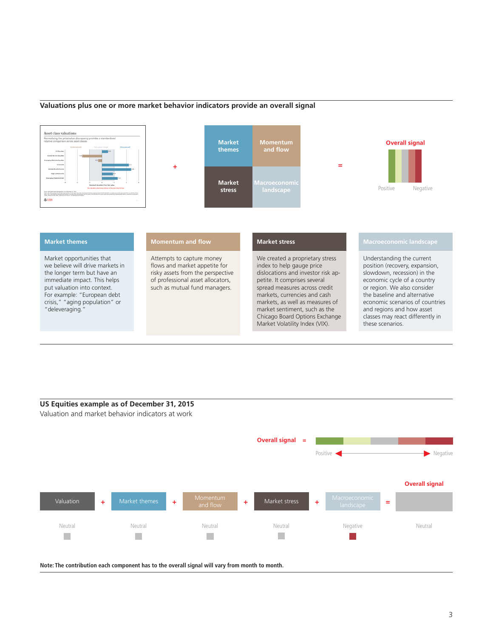## **Valuations plus one or more market behavior indicators provide an overall signal**



## **US Equities example as of December 31, 2015** Valuation and market behavior indicators at work

**Overall signal =** Positive Negative **Overall signal** Valuation **+** Market themes **+** Momentum **+** Market stress **+** Macroeconomic  $\uparrow$  Market themes  $\uparrow$  **+** Momentum **+** Market stress  $\uparrow$  + Macroeconomic = Neutral Neutral Neutral Neutral Negative Neutral P.  $\mathcal{L}_{\mathcal{A}}$ H. 

**Note: The contribution each component has to the overall signal will vary from month to month.**